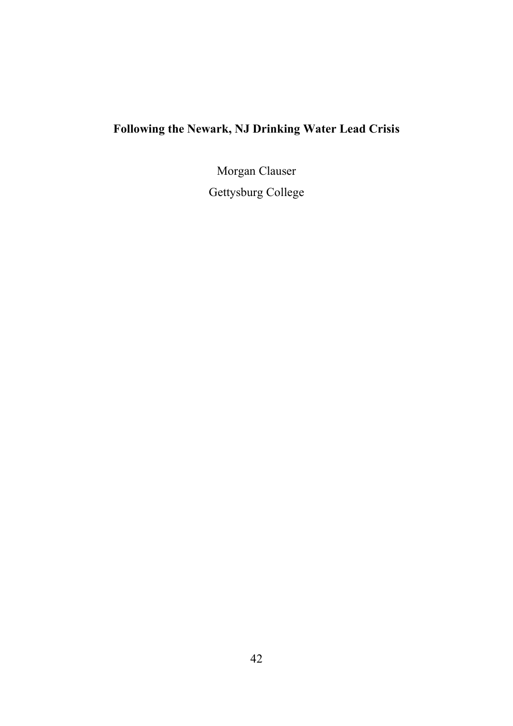# **Following the Newark, NJ Drinking Water Lead Crisis**

Morgan Clauser

Gettysburg College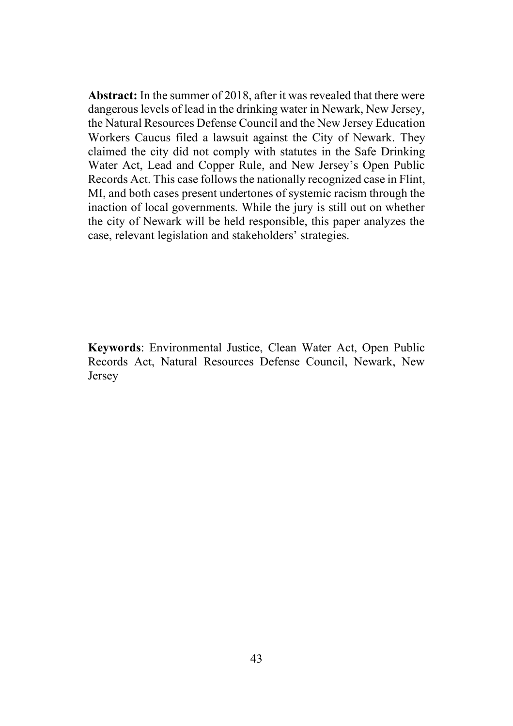**Abstract:** In the summer of 2018, after it was revealed that there were dangerous levels of lead in the drinking water in Newark, New Jersey, the Natural Resources Defense Council and the New Jersey Education Workers Caucus filed a lawsuit against the City of Newark. They claimed the city did not comply with statutes in the Safe Drinking Water Act, Lead and Copper Rule, and New Jersey's Open Public Records Act. This case follows the nationally recognized case in Flint, MI, and both cases present undertones of systemic racism through the inaction of local governments. While the jury is still out on whether the city of Newark will be held responsible, this paper analyzes the case, relevant legislation and stakeholders' strategies.

**Keywords**: Environmental Justice, Clean Water Act, Open Public Records Act, Natural Resources Defense Council, Newark, New Jersey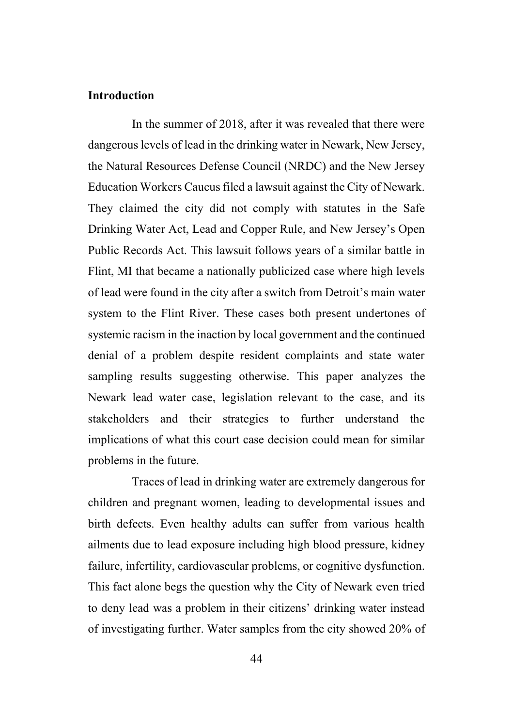### **Introduction**

In the summer of 2018, after it was revealed that there were dangerous levels of lead in the drinking water in Newark, New Jersey, the Natural Resources Defense Council (NRDC) and the New Jersey Education Workers Caucus filed a lawsuit against the City of Newark. They claimed the city did not comply with statutes in the Safe Drinking Water Act, Lead and Copper Rule, and New Jersey's Open Public Records Act. This lawsuit follows years of a similar battle in Flint, MI that became a nationally publicized case where high levels of lead were found in the city after a switch from Detroit's main water system to the Flint River. These cases both present undertones of systemic racism in the inaction by local government and the continued denial of a problem despite resident complaints and state water sampling results suggesting otherwise. This paper analyzes the Newark lead water case, legislation relevant to the case, and its stakeholders and their strategies to further understand the implications of what this court case decision could mean for similar problems in the future.

Traces of lead in drinking water are extremely dangerous for children and pregnant women, leading to developmental issues and birth defects. Even healthy adults can suffer from various health ailments due to lead exposure including high blood pressure, kidney failure, infertility, cardiovascular problems, or cognitive dysfunction. This fact alone begs the question why the City of Newark even tried to deny lead was a problem in their citizens' drinking water instead of investigating further. Water samples from the city showed 20% of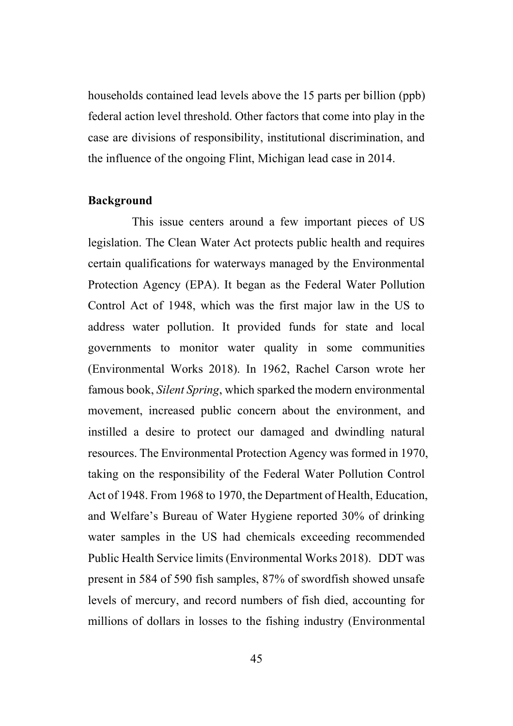households contained lead levels above the 15 parts per billion (ppb) federal action level threshold. Other factors that come into play in the case are divisions of responsibility, institutional discrimination, and the influence of the ongoing Flint, Michigan lead case in 2014.

#### **Background**

This issue centers around a few important pieces of US legislation. The Clean Water Act protects public health and requires certain qualifications for waterways managed by the Environmental Protection Agency (EPA). It began as the Federal Water Pollution Control Act of 1948, which was the first major law in the US to address water pollution. It provided funds for state and local governments to monitor water quality in some communities (Environmental Works 2018). In 1962, Rachel Carson wrote her famous book, *Silent Spring*, which sparked the modern environmental movement, increased public concern about the environment, and instilled a desire to protect our damaged and dwindling natural resources. The Environmental Protection Agency was formed in 1970, taking on the responsibility of the Federal Water Pollution Control Act of 1948. From 1968 to 1970, the Department of Health, Education, and Welfare's Bureau of Water Hygiene reported 30% of drinking water samples in the US had chemicals exceeding recommended Public Health Service limits (Environmental Works 2018). DDT was present in 584 of 590 fish samples, 87% of swordfish showed unsafe levels of mercury, and record numbers of fish died, accounting for millions of dollars in losses to the fishing industry (Environmental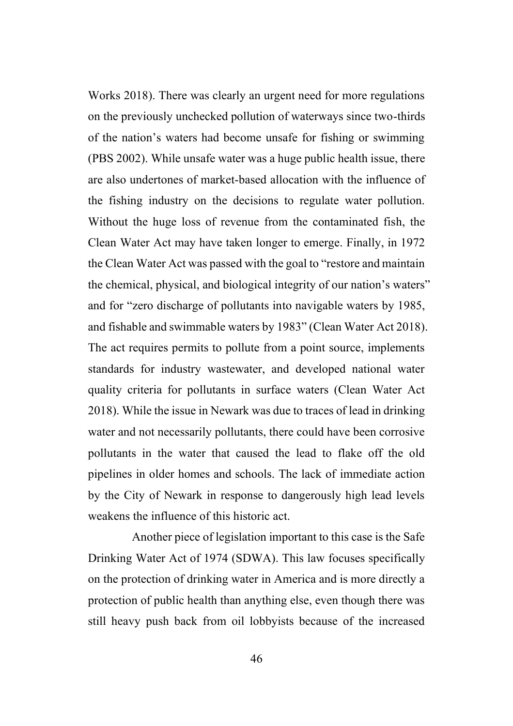Works 2018). There was clearly an urgent need for more regulations on the previously unchecked pollution of waterways since two-thirds of the nation's waters had become unsafe for fishing or swimming (PBS 2002). While unsafe water was a huge public health issue, there are also undertones of market-based allocation with the influence of the fishing industry on the decisions to regulate water pollution. Without the huge loss of revenue from the contaminated fish, the Clean Water Act may have taken longer to emerge. Finally, in 1972 the Clean Water Act was passed with the goal to "restore and maintain the chemical, physical, and biological integrity of our nation's waters" and for "zero discharge of pollutants into navigable waters by 1985, and fishable and swimmable waters by 1983" (Clean Water Act 2018). The act requires permits to pollute from a point source, implements standards for industry wastewater, and developed national water quality criteria for pollutants in surface waters (Clean Water Act 2018). While the issue in Newark was due to traces of lead in drinking water and not necessarily pollutants, there could have been corrosive pollutants in the water that caused the lead to flake off the old pipelines in older homes and schools. The lack of immediate action by the City of Newark in response to dangerously high lead levels weakens the influence of this historic act.

Another piece of legislation important to this case is the Safe Drinking Water Act of 1974 (SDWA). This law focuses specifically on the protection of drinking water in America and is more directly a protection of public health than anything else, even though there was still heavy push back from oil lobbyists because of the increased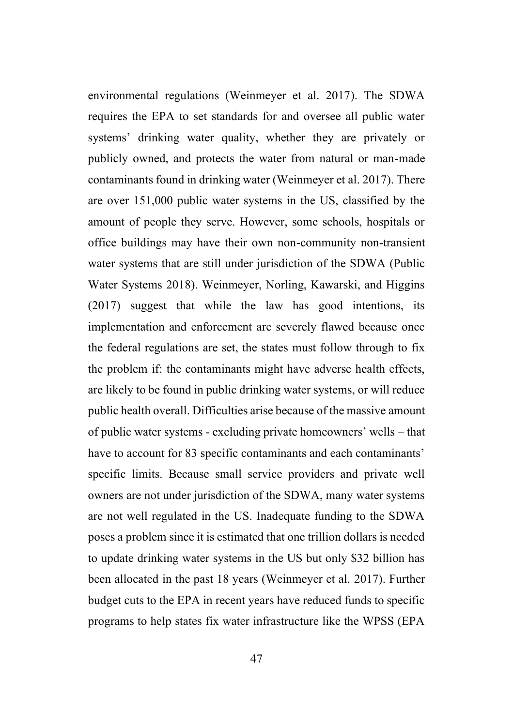environmental regulations (Weinmeyer et al. 2017). The SDWA requires the EPA to set standards for and oversee all public water systems' drinking water quality, whether they are privately or publicly owned, and protects the water from natural or man-made contaminants found in drinking water (Weinmeyer et al. 2017). There are over 151,000 public water systems in the US, classified by the amount of people they serve. However, some schools, hospitals or office buildings may have their own non-community non-transient water systems that are still under jurisdiction of the SDWA (Public Water Systems 2018). Weinmeyer, Norling, Kawarski, and Higgins (2017) suggest that while the law has good intentions, its implementation and enforcement are severely flawed because once the federal regulations are set, the states must follow through to fix the problem if: the contaminants might have adverse health effects, are likely to be found in public drinking water systems, or will reduce public health overall. Difficulties arise because of the massive amount of public water systems - excluding private homeowners' wells – that have to account for 83 specific contaminants and each contaminants' specific limits. Because small service providers and private well owners are not under jurisdiction of the SDWA, many water systems are not well regulated in the US. Inadequate funding to the SDWA poses a problem since it is estimated that one trillion dollars is needed to update drinking water systems in the US but only \$32 billion has been allocated in the past 18 years (Weinmeyer et al. 2017). Further budget cuts to the EPA in recent years have reduced funds to specific programs to help states fix water infrastructure like the WPSS (EPA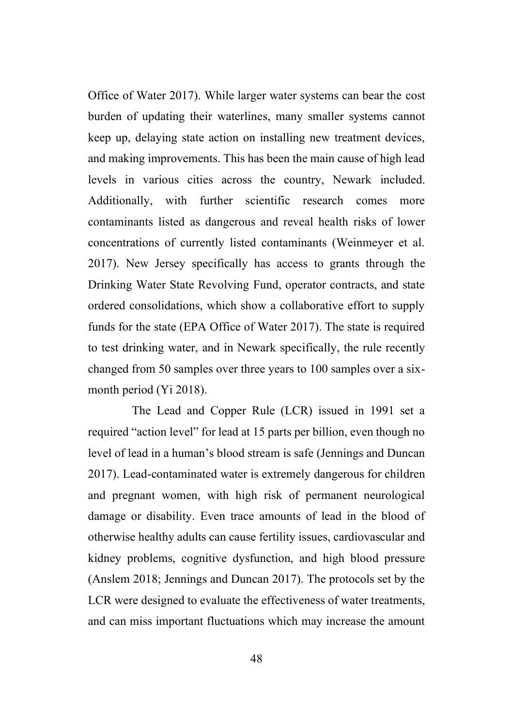Office of Water 2017). While larger water systems can bear the cost burden of updating their waterlines, many smaller systems cannot keep up, delaying state action on installing new treatment devices, and making improvements. This has been the main cause of high lead levels in various cities across the country, Newark included. Additionally, with further scientific research comes more contaminants listed as dangerous and reveal health risks of lower concentrations of currently listed contaminants (Weinmeyer et al. 2017). New Jersey specifically has access to grants through the Drinking Water State Revolving Fund, operator contracts, and state ordered consolidations, which show a collaborative effort to supply funds for the state (EPA Office of Water 2017). The state is required to test drinking water, and in Newark specifically, the rule recently changed from 50 samples over three years to 100 samples over a sixmonth period (Yi 2018).

The Lead and Copper Rule (LCR) issued in 1991 set a required "action level" for lead at 15 parts per billion, even though no level of lead in a human's blood stream is safe (Jennings and Duncan 2017). Lead-contaminated water is extremely dangerous for children and pregnant women, with high risk of permanent neurological damage or disability. Even trace amounts of lead in the blood of otherwise healthy adults can cause fertility issues, cardiovascular and kidney problems, cognitive dysfunction, and high blood pressure (Anslem 2018; Jennings and Duncan 2017). The protocols set by the LCR were designed to evaluate the effectiveness of water treatments, and can miss important fluctuations which may increase the amount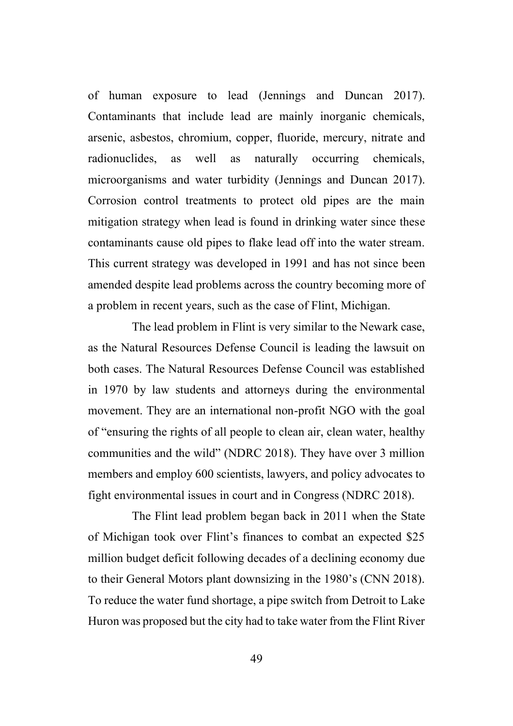of human exposure to lead (Jennings and Duncan 2017). Contaminants that include lead are mainly inorganic chemicals, arsenic, asbestos, chromium, copper, fluoride, mercury, nitrate and radionuclides, as well as naturally occurring chemicals, microorganisms and water turbidity (Jennings and Duncan 2017). Corrosion control treatments to protect old pipes are the main mitigation strategy when lead is found in drinking water since these contaminants cause old pipes to flake lead off into the water stream. This current strategy was developed in 1991 and has not since been amended despite lead problems across the country becoming more of a problem in recent years, such as the case of Flint, Michigan.

The lead problem in Flint is very similar to the Newark case, as the Natural Resources Defense Council is leading the lawsuit on both cases. The Natural Resources Defense Council was established in 1970 by law students and attorneys during the environmental movement. They are an international non-profit NGO with the goal of "ensuring the rights of all people to clean air, clean water, healthy communities and the wild" (NDRC 2018). They have over 3 million members and employ 600 scientists, lawyers, and policy advocates to fight environmental issues in court and in Congress (NDRC 2018).

The Flint lead problem began back in 2011 when the State of Michigan took over Flint's finances to combat an expected \$25 million budget deficit following decades of a declining economy due to their General Motors plant downsizing in the 1980's (CNN 2018). To reduce the water fund shortage, a pipe switch from Detroit to Lake Huron was proposed but the city had to take water from the Flint River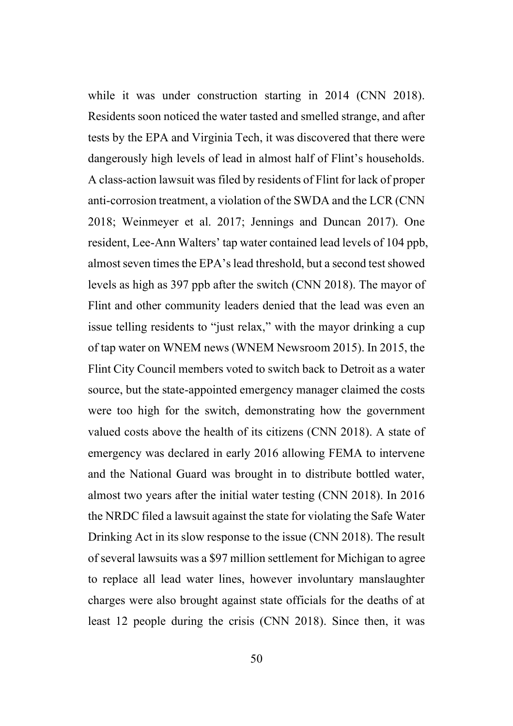while it was under construction starting in 2014 (CNN 2018). Residents soon noticed the water tasted and smelled strange, and after tests by the EPA and Virginia Tech, it was discovered that there were dangerously high levels of lead in almost half of Flint's households. A class-action lawsuit was filed by residents of Flint for lack of proper anti-corrosion treatment, a violation of the SWDA and the LCR (CNN 2018; Weinmeyer et al. 2017; Jennings and Duncan 2017). One resident, Lee-Ann Walters' tap water contained lead levels of 104 ppb, almost seven times the EPA's lead threshold, but a second test showed levels as high as 397 ppb after the switch (CNN 2018). The mayor of Flint and other community leaders denied that the lead was even an issue telling residents to "just relax," with the mayor drinking a cup of tap water on WNEM news (WNEM Newsroom 2015). In 2015, the Flint City Council members voted to switch back to Detroit as a water source, but the state-appointed emergency manager claimed the costs were too high for the switch, demonstrating how the government valued costs above the health of its citizens (CNN 2018). A state of emergency was declared in early 2016 allowing FEMA to intervene and the National Guard was brought in to distribute bottled water, almost two years after the initial water testing (CNN 2018). In 2016 the NRDC filed a lawsuit against the state for violating the Safe Water Drinking Act in its slow response to the issue (CNN 2018). The result of several lawsuits was a \$97 million settlement for Michigan to agree to replace all lead water lines, however involuntary manslaughter charges were also brought against state officials for the deaths of at least 12 people during the crisis (CNN 2018). Since then, it was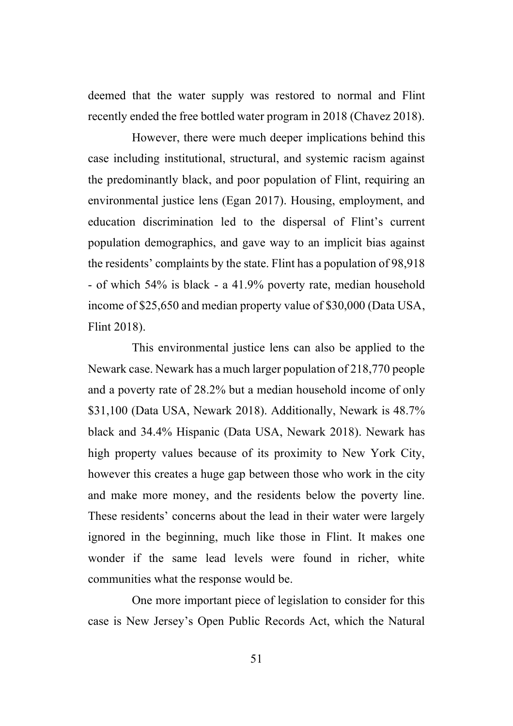deemed that the water supply was restored to normal and Flint recently ended the free bottled water program in 2018 (Chavez 2018).

However, there were much deeper implications behind this case including institutional, structural, and systemic racism against the predominantly black, and poor population of Flint, requiring an environmental justice lens (Egan 2017). Housing, employment, and education discrimination led to the dispersal of Flint's current population demographics, and gave way to an implicit bias against the residents' complaints by the state. Flint has a population of 98,918 - of which 54% is black - a 41.9% poverty rate, median household income of \$25,650 and median property value of \$30,000 (Data USA, Flint 2018).

This environmental justice lens can also be applied to the Newark case. Newark has a much larger population of 218,770 people and a poverty rate of 28.2% but a median household income of only \$31,100 (Data USA, Newark 2018). Additionally, Newark is 48.7% black and 34.4% Hispanic (Data USA, Newark 2018). Newark has high property values because of its proximity to New York City, however this creates a huge gap between those who work in the city and make more money, and the residents below the poverty line. These residents' concerns about the lead in their water were largely ignored in the beginning, much like those in Flint. It makes one wonder if the same lead levels were found in richer, white communities what the response would be.

One more important piece of legislation to consider for this case is New Jersey's Open Public Records Act, which the Natural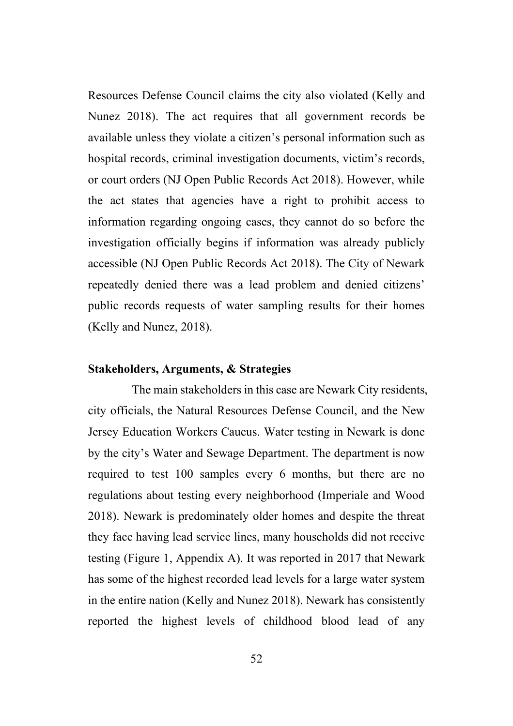Resources Defense Council claims the city also violated (Kelly and Nunez 2018). The act requires that all government records be available unless they violate a citizen's personal information such as hospital records, criminal investigation documents, victim's records, or court orders (NJ Open Public Records Act 2018). However, while the act states that agencies have a right to prohibit access to information regarding ongoing cases, they cannot do so before the investigation officially begins if information was already publicly accessible (NJ Open Public Records Act 2018). The City of Newark repeatedly denied there was a lead problem and denied citizens' public records requests of water sampling results for their homes (Kelly and Nunez, 2018).

#### **Stakeholders, Arguments, & Strategies**

The main stakeholders in this case are Newark City residents, city officials, the Natural Resources Defense Council, and the New Jersey Education Workers Caucus. Water testing in Newark is done by the city's Water and Sewage Department. The department is now required to test 100 samples every 6 months, but there are no regulations about testing every neighborhood (Imperiale and Wood 2018). Newark is predominately older homes and despite the threat they face having lead service lines, many households did not receive testing (Figure 1, Appendix A). It was reported in 2017 that Newark has some of the highest recorded lead levels for a large water system in the entire nation (Kelly and Nunez 2018). Newark has consistently reported the highest levels of childhood blood lead of any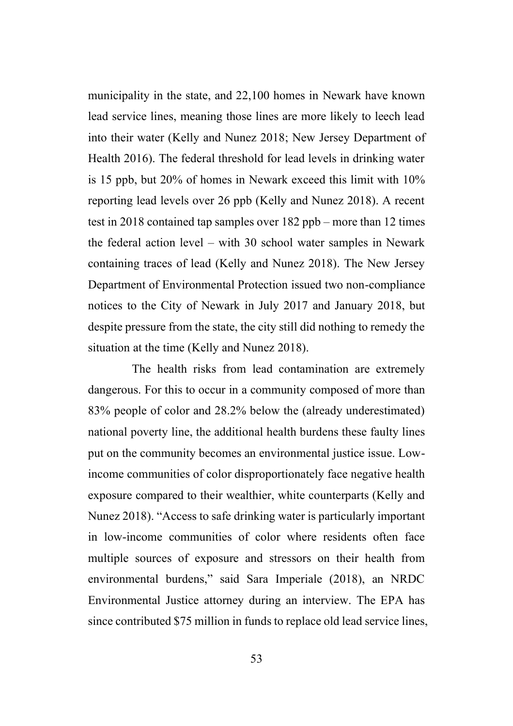municipality in the state, and 22,100 homes in Newark have known lead service lines, meaning those lines are more likely to leech lead into their water (Kelly and Nunez 2018; New Jersey Department of Health 2016). The federal threshold for lead levels in drinking water is 15 ppb, but 20% of homes in Newark exceed this limit with 10% reporting lead levels over 26 ppb (Kelly and Nunez 2018). A recent test in 2018 contained tap samples over 182 ppb – more than 12 times the federal action level – with 30 school water samples in Newark containing traces of lead (Kelly and Nunez 2018). The New Jersey Department of Environmental Protection issued two non-compliance notices to the City of Newark in July 2017 and January 2018, but despite pressure from the state, the city still did nothing to remedy the situation at the time (Kelly and Nunez 2018).

The health risks from lead contamination are extremely dangerous. For this to occur in a community composed of more than 83% people of color and 28.2% below the (already underestimated) national poverty line, the additional health burdens these faulty lines put on the community becomes an environmental justice issue. Lowincome communities of color disproportionately face negative health exposure compared to their wealthier, white counterparts (Kelly and Nunez 2018). "Access to safe drinking water is particularly important in low-income communities of color where residents often face multiple sources of exposure and stressors on their health from environmental burdens," said Sara Imperiale (2018), an NRDC Environmental Justice attorney during an interview. The EPA has since contributed \$75 million in funds to replace old lead service lines,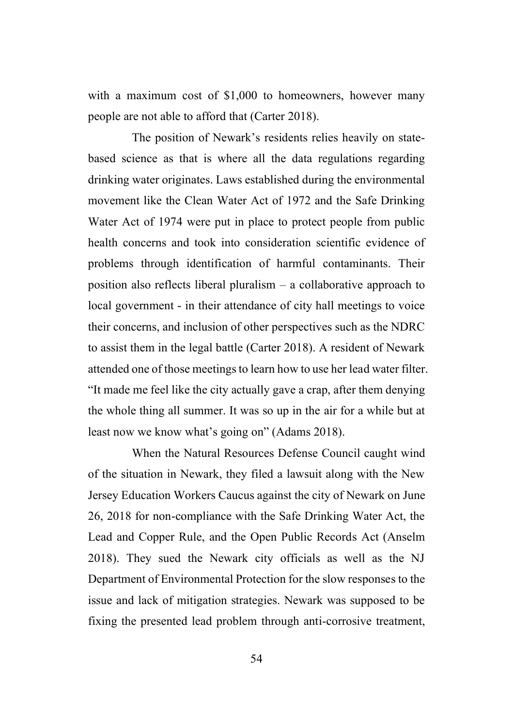with a maximum cost of \$1,000 to homeowners, however many people are not able to afford that (Carter 2018).

The position of Newark's residents relies heavily on statebased science as that is where all the data regulations regarding drinking water originates. Laws established during the environmental movement like the Clean Water Act of 1972 and the Safe Drinking Water Act of 1974 were put in place to protect people from public health concerns and took into consideration scientific evidence of problems through identification of harmful contaminants. Their position also reflects liberal pluralism – a collaborative approach to local government - in their attendance of city hall meetings to voice their concerns, and inclusion of other perspectives such as the NDRC to assist them in the legal battle (Carter 2018). A resident of Newark attended one of those meetings to learn how to use her lead water filter. "It made me feel like the city actually gave a crap, after them denying the whole thing all summer. It was so up in the air for a while but at least now we know what's going on" (Adams 2018).

When the Natural Resources Defense Council caught wind of the situation in Newark, they filed a lawsuit along with the New Jersey Education Workers Caucus against the city of Newark on June 26, 2018 for non-compliance with the Safe Drinking Water Act, the Lead and Copper Rule, and the Open Public Records Act (Anselm 2018). They sued the Newark city officials as well as the NJ Department of Environmental Protection for the slow responses to the issue and lack of mitigation strategies. Newark was supposed to be fixing the presented lead problem through anti-corrosive treatment,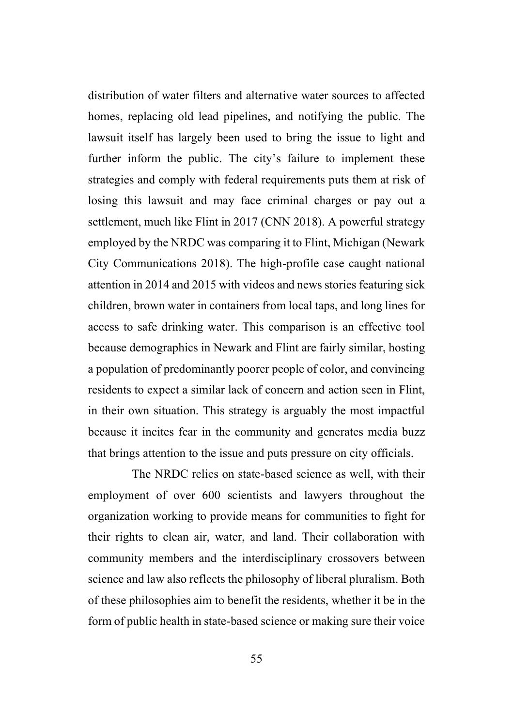distribution of water filters and alternative water sources to affected homes, replacing old lead pipelines, and notifying the public. The lawsuit itself has largely been used to bring the issue to light and further inform the public. The city's failure to implement these strategies and comply with federal requirements puts them at risk of losing this lawsuit and may face criminal charges or pay out a settlement, much like Flint in 2017 (CNN 2018). A powerful strategy employed by the NRDC was comparing it to Flint, Michigan (Newark City Communications 2018). The high-profile case caught national attention in 2014 and 2015 with videos and news stories featuring sick children, brown water in containers from local taps, and long lines for access to safe drinking water. This comparison is an effective tool because demographics in Newark and Flint are fairly similar, hosting a population of predominantly poorer people of color, and convincing residents to expect a similar lack of concern and action seen in Flint, in their own situation. This strategy is arguably the most impactful because it incites fear in the community and generates media buzz that brings attention to the issue and puts pressure on city officials.

The NRDC relies on state-based science as well, with their employment of over 600 scientists and lawyers throughout the organization working to provide means for communities to fight for their rights to clean air, water, and land. Their collaboration with community members and the interdisciplinary crossovers between science and law also reflects the philosophy of liberal pluralism. Both of these philosophies aim to benefit the residents, whether it be in the form of public health in state-based science or making sure their voice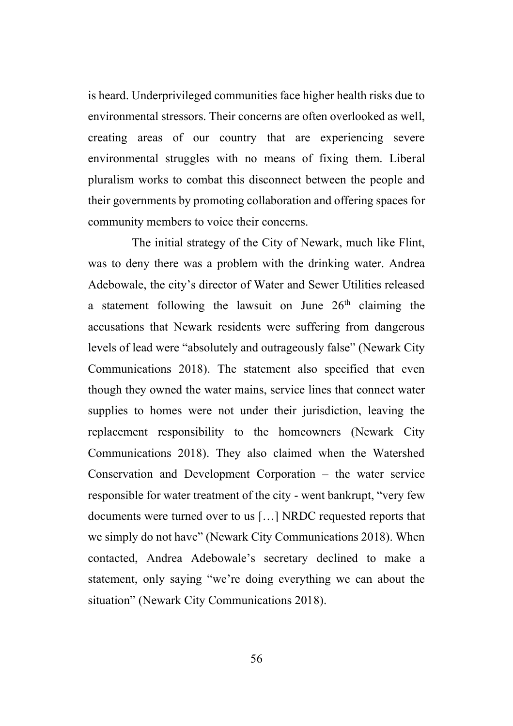is heard. Underprivileged communities face higher health risks due to environmental stressors. Their concerns are often overlooked as well, creating areas of our country that are experiencing severe environmental struggles with no means of fixing them. Liberal pluralism works to combat this disconnect between the people and their governments by promoting collaboration and offering spaces for community members to voice their concerns.

The initial strategy of the City of Newark, much like Flint, was to deny there was a problem with the drinking water. Andrea Adebowale, the city's director of Water and Sewer Utilities released a statement following the lawsuit on June  $26<sup>th</sup>$  claiming the accusations that Newark residents were suffering from dangerous levels of lead were "absolutely and outrageously false" (Newark City Communications 2018). The statement also specified that even though they owned the water mains, service lines that connect water supplies to homes were not under their jurisdiction, leaving the replacement responsibility to the homeowners (Newark City Communications 2018). They also claimed when the Watershed Conservation and Development Corporation – the water service responsible for water treatment of the city - went bankrupt, "very few documents were turned over to us […] NRDC requested reports that we simply do not have" (Newark City Communications 2018). When contacted, Andrea Adebowale's secretary declined to make a statement, only saying "we're doing everything we can about the situation" (Newark City Communications 2018).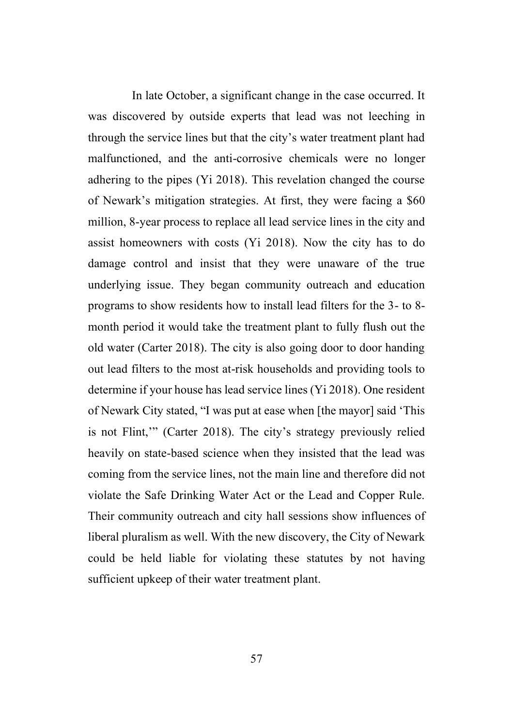In late October, a significant change in the case occurred. It was discovered by outside experts that lead was not leeching in through the service lines but that the city's water treatment plant had malfunctioned, and the anti-corrosive chemicals were no longer adhering to the pipes (Yi 2018). This revelation changed the course of Newark's mitigation strategies. At first, they were facing a \$60 million, 8-year process to replace all lead service lines in the city and assist homeowners with costs (Yi 2018). Now the city has to do damage control and insist that they were unaware of the true underlying issue. They began community outreach and education programs to show residents how to install lead filters for the 3- to 8 month period it would take the treatment plant to fully flush out the old water (Carter 2018). The city is also going door to door handing out lead filters to the most at-risk households and providing tools to determine if your house has lead service lines (Yi 2018). One resident of Newark City stated, "I was put at ease when [the mayor] said 'This is not Flint,'" (Carter 2018). The city's strategy previously relied heavily on state-based science when they insisted that the lead was coming from the service lines, not the main line and therefore did not violate the Safe Drinking Water Act or the Lead and Copper Rule. Their community outreach and city hall sessions show influences of liberal pluralism as well. With the new discovery, the City of Newark could be held liable for violating these statutes by not having sufficient upkeep of their water treatment plant.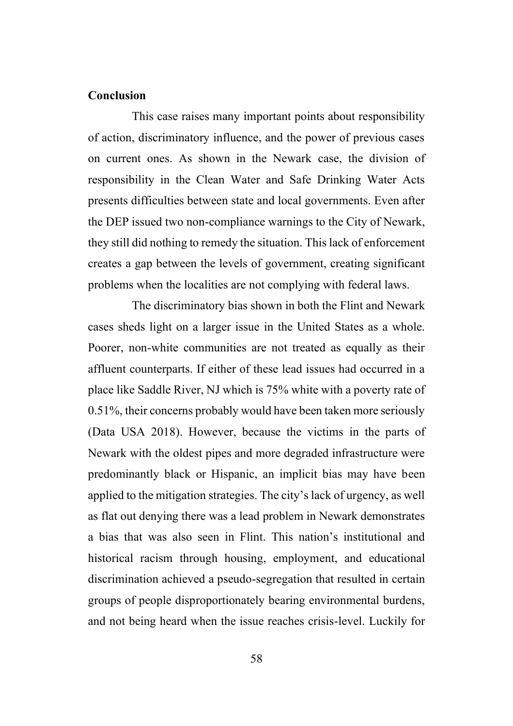#### **Conclusion**

This case raises many important points about responsibility of action, discriminatory influence, and the power of previous cases on current ones. As shown in the Newark case, the division of responsibility in the Clean Water and Safe Drinking Water Acts presents difficulties between state and local governments. Even after the DEP issued two non-compliance warnings to the City of Newark, they still did nothing to remedy the situation. This lack of enforcement creates a gap between the levels of government, creating significant problems when the localities are not complying with federal laws.

The discriminatory bias shown in both the Flint and Newark cases sheds light on a larger issue in the United States as a whole. Poorer, non-white communities are not treated as equally as their affluent counterparts. If either of these lead issues had occurred in a place like Saddle River, NJ which is 75% white with a poverty rate of 0.51%, their concerns probably would have been taken more seriously (Data USA 2018). However, because the victims in the parts of Newark with the oldest pipes and more degraded infrastructure were predominantly black or Hispanic, an implicit bias may have been applied to the mitigation strategies. The city's lack of urgency, as well as flat out denying there was a lead problem in Newark demonstrates a bias that was also seen in Flint. This nation's institutional and historical racism through housing, employment, and educational discrimination achieved a pseudo-segregation that resulted in certain groups of people disproportionately bearing environmental burdens, and not being heard when the issue reaches crisis-level. Luckily for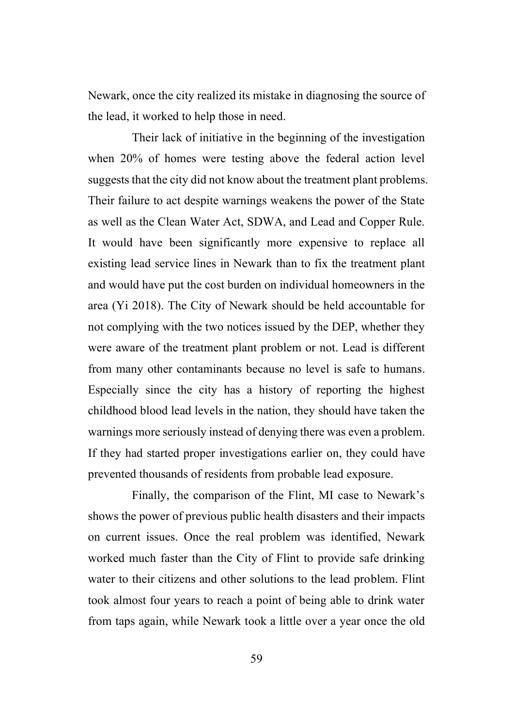Newark, once the city realized its mistake in diagnosing the source of the lead, it worked to help those in need.

Their lack of initiative in the beginning of the investigation when 20% of homes were testing above the federal action level suggests that the city did not know about the treatment plant problems. Their failure to act despite warnings weakens the power of the State as well as the Clean Water Act, SDWA, and Lead and Copper Rule. It would have been significantly more expensive to replace all existing lead service lines in Newark than to fix the treatment plant and would have put the cost burden on individual homeowners in the area (Yi 2018). The City of Newark should be held accountable for not complying with the two notices issued by the DEP, whether they were aware of the treatment plant problem or not. Lead is different from many other contaminants because no level is safe to humans. Especially since the city has a history of reporting the highest childhood blood lead levels in the nation, they should have taken the warnings more seriously instead of denying there was even a problem. If they had started proper investigations earlier on, they could have prevented thousands of residents from probable lead exposure.

Finally, the comparison of the Flint, MI case to Newark's shows the power of previous public health disasters and their impacts on current issues. Once the real problem was identified, Newark worked much faster than the City of Flint to provide safe drinking water to their citizens and other solutions to the lead problem. Flint took almost four years to reach a point of being able to drink water from taps again, while Newark took a little over a year once the old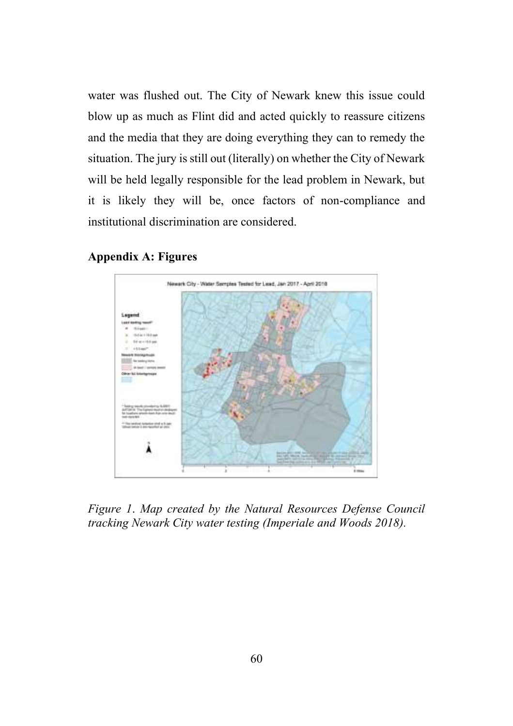water was flushed out. The City of Newark knew this issue could blow up as much as Flint did and acted quickly to reassure citizens and the media that they are doing everything they can to remedy the situation. The jury is still out (literally) on whether the City of Newark will be held legally responsible for the lead problem in Newark, but it is likely they will be, once factors of non-compliance and institutional discrimination are considered.

### **Appendix A: Figures**



*Figure 1*. *Map created by the Natural Resources Defense Council tracking Newark City water testing (Imperiale and Woods 2018).*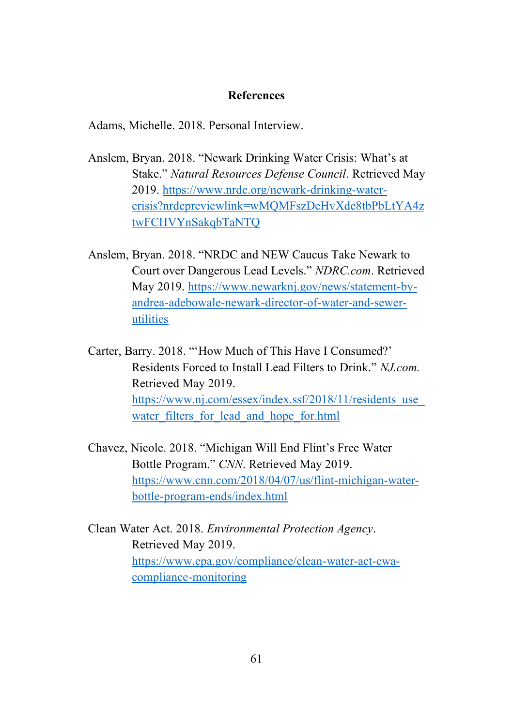### **References**

Adams, Michelle. 2018. Personal Interview.

- Anslem, Bryan. 2018. "Newark Drinking Water Crisis: What's at Stake." *Natural Resources Defense Council*. Retrieved May 2019. [https://www.nrdc.org/newark-drinking-water](https://www.nrdc.org/newark-drinking-water-crisis?nrdcpreviewlink=wMQMFszDeHvXde8tbPbLtYA4ztwFCHVYnSakqbTaNTQ)[crisis?nrdcpreviewlink=wMQMFszDeHvXde8tbPbLtYA4z](https://www.nrdc.org/newark-drinking-water-crisis?nrdcpreviewlink=wMQMFszDeHvXde8tbPbLtYA4ztwFCHVYnSakqbTaNTQ) [twFCHVYnSakqbTaNTQ](https://www.nrdc.org/newark-drinking-water-crisis?nrdcpreviewlink=wMQMFszDeHvXde8tbPbLtYA4ztwFCHVYnSakqbTaNTQ)
- Anslem, Bryan. 2018. "NRDC and NEW Caucus Take Newark to Court over Dangerous Lead Levels." *NDRC.com*. Retrieved May 2019. [https://www.newarknj.gov/news/statement-by](https://www.newarknj.gov/news/statement-by-andrea-adebowale-newark-director-of-water-and-sewer-utilities)[andrea-adebowale-newark-director-of-water-and-sewer](https://www.newarknj.gov/news/statement-by-andrea-adebowale-newark-director-of-water-and-sewer-utilities)[utilities](https://www.newarknj.gov/news/statement-by-andrea-adebowale-newark-director-of-water-and-sewer-utilities)
- Carter, Barry. 2018. "'How Much of This Have I Consumed?' Residents Forced to Install Lead Filters to Drink." *NJ.com.* Retrieved May 2019. https://www.nj.com/essex/index.ssf/2018/11/residents\_use water filters for lead and hope for.html
- Chavez, Nicole. 2018. "Michigan Will End Flint's Free Water Bottle Program." *CNN*. Retrieved May 2019. [https://www.cnn.com/2018/04/07/us/flint-michigan-water](https://www.cnn.com/2018/04/07/us/flint-michigan-water-bottle-program-ends/index.html)[bottle-program-ends/index.html](https://www.cnn.com/2018/04/07/us/flint-michigan-water-bottle-program-ends/index.html)
- Clean Water Act. 2018. *Environmental Protection Agency*. Retrieved May 2019. [https://www.epa.gov/compliance/clean-water-act-cwa](https://www.epa.gov/compliance/clean-water-act-cwa-compliance-monitoring)[compliance-monitoring](https://www.epa.gov/compliance/clean-water-act-cwa-compliance-monitoring)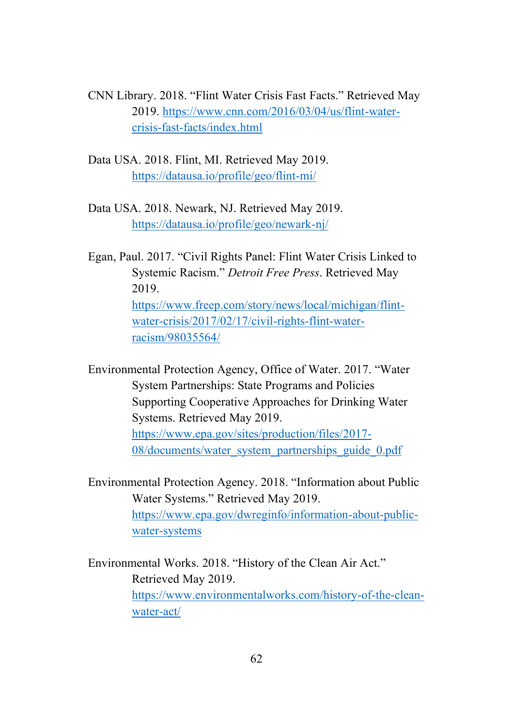- CNN Library. 2018. "Flint Water Crisis Fast Facts." Retrieved May 2019. [https://www.cnn.com/2016/03/04/us/flint-water](https://www.cnn.com/2016/03/04/us/flint-water-crisis-fast-facts/index.html)[crisis-fast-facts/index.html](https://www.cnn.com/2016/03/04/us/flint-water-crisis-fast-facts/index.html)
- Data USA. 2018. Flint, MI. Retrieved May 2019. <https://datausa.io/profile/geo/flint-mi/>
- Data USA. 2018. Newark, NJ. Retrieved May 2019. <https://datausa.io/profile/geo/newark-nj/>
- Egan, Paul. 2017. "Civil Rights Panel: Flint Water Crisis Linked to Systemic Racism." *Detroit Free Press*. Retrieved May 2019. [https://www.freep.com/story/news/local/michigan/flint](https://www.freep.com/story/news/local/michigan/flint-water-crisis/2017/02/17/civil-rights-flint-water-racism/98035564/)[water-crisis/2017/02/17/civil-rights-flint-water](https://www.freep.com/story/news/local/michigan/flint-water-crisis/2017/02/17/civil-rights-flint-water-racism/98035564/)[racism/98035564/](https://www.freep.com/story/news/local/michigan/flint-water-crisis/2017/02/17/civil-rights-flint-water-racism/98035564/)

Environmental Protection Agency, Office of Water. 2017. "Water System Partnerships: State Programs and Policies Supporting Cooperative Approaches for Drinking Water Systems. Retrieved May 2019. [https://www.epa.gov/sites/production/files/2017-](https://www.epa.gov/sites/production/files/2017-08/documents/water_system_partnerships_guide_0.pdf) [08/documents/water\\_system\\_partnerships\\_guide\\_0.pdf](https://www.epa.gov/sites/production/files/2017-08/documents/water_system_partnerships_guide_0.pdf)

Environmental Protection Agency. 2018. "Information about Public Water Systems." Retrieved May 2019. [https://www.epa.gov/dwreginfo/information-about-public](https://www.epa.gov/dwreginfo/information-about-public-water-systems)[water-systems](https://www.epa.gov/dwreginfo/information-about-public-water-systems)

Environmental Works. 2018. "History of the Clean Air Act." Retrieved May 2019. [https://www.environmentalworks.com/history-of-the-clean](https://www.environmentalworks.com/history-of-the-clean-water-act/)[water-act/](https://www.environmentalworks.com/history-of-the-clean-water-act/)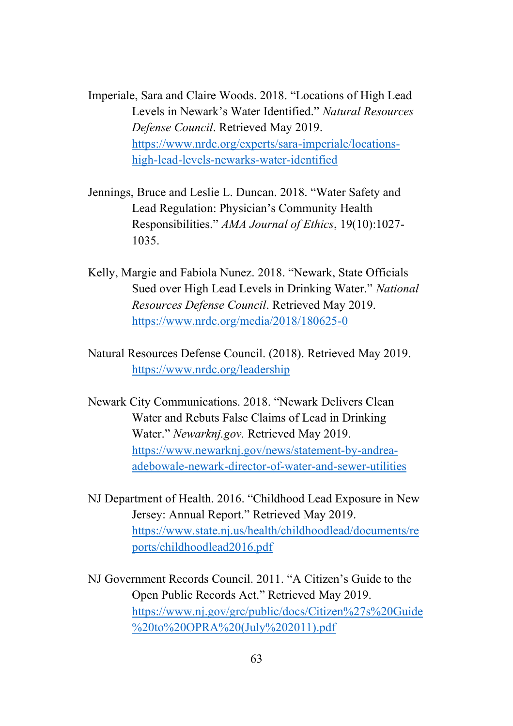Imperiale, Sara and Claire Woods. 2018. "Locations of High Lead Levels in Newark's Water Identified." *Natural Resources Defense Council*. Retrieved May 2019. [https://www.nrdc.org/experts/sara-imperiale/locations](https://www.nrdc.org/experts/sara-imperiale/locations-high-lead-levels-newarks-water-identified)[high-lead-levels-newarks-water-identified](https://www.nrdc.org/experts/sara-imperiale/locations-high-lead-levels-newarks-water-identified)

- Jennings, Bruce and Leslie L. Duncan. 2018. "Water Safety and Lead Regulation: Physician's Community Health Responsibilities." *AMA Journal of Ethics*, 19(10):1027- 1035.
- Kelly, Margie and Fabiola Nunez. 2018. "Newark, State Officials Sued over High Lead Levels in Drinking Water." *National Resources Defense Council*. Retrieved May 2019. <https://www.nrdc.org/media/2018/180625-0>
- Natural Resources Defense Council. (2018). Retrieved May 2019. <https://www.nrdc.org/leadership>
- Newark City Communications. 2018. "Newark Delivers Clean Water and Rebuts False Claims of Lead in Drinking Water." *Newarknj.gov.* Retrieved May 2019. [https://www.newarknj.gov/news/statement-by-andrea](https://www.newarknj.gov/news/statement-by-andrea-adebowale-newark-director-of-water-and-sewer-utilities)[adebowale-newark-director-of-water-and-sewer-utilities](https://www.newarknj.gov/news/statement-by-andrea-adebowale-newark-director-of-water-and-sewer-utilities)
- NJ Department of Health. 2016. "Childhood Lead Exposure in New Jersey: Annual Report." Retrieved May 2019. [https://www.state.nj.us/health/childhoodlead/documents/re](https://www.state.nj.us/health/childhoodlead/documents/reports/childhoodlead2016.pdf) [ports/childhoodlead2016.pdf](https://www.state.nj.us/health/childhoodlead/documents/reports/childhoodlead2016.pdf)
- NJ Government Records Council. 2011. "A Citizen's Guide to the Open Public Records Act." Retrieved May 2019. [https://www.nj.gov/grc/public/docs/Citizen%27s%20Guide](https://www.nj.gov/grc/public/docs/Citizen%27s%20Guide%20to%20OPRA%20(July%202011).pdf) [%20to%20OPRA%20\(July%202011\).pdf](https://www.nj.gov/grc/public/docs/Citizen%27s%20Guide%20to%20OPRA%20(July%202011).pdf)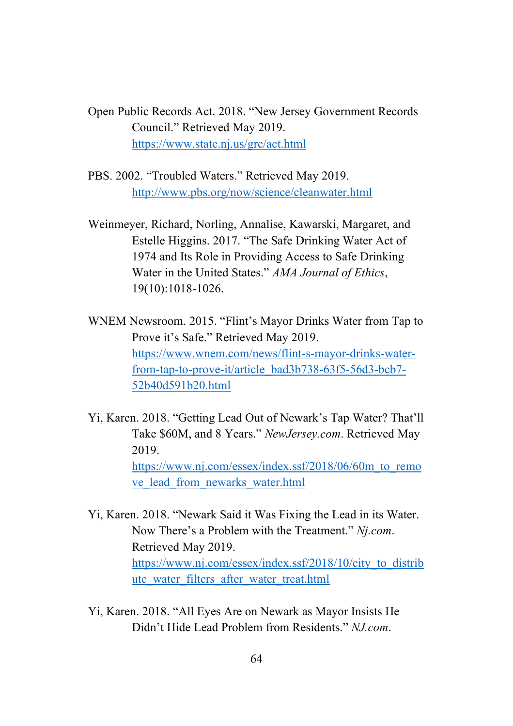Open Public Records Act. 2018. "New Jersey Government Records Council." Retrieved May 2019. <https://www.state.nj.us/grc/act.html>

PBS. 2002. "Troubled Waters." Retrieved May 2019. <http://www.pbs.org/now/science/cleanwater.html>

Weinmeyer, Richard, Norling, Annalise, Kawarski, Margaret, and Estelle Higgins. 2017. "The Safe Drinking Water Act of 1974 and Its Role in Providing Access to Safe Drinking Water in the United States." *AMA Journal of Ethics*, 19(10):1018-1026.

WNEM Newsroom. 2015. "Flint's Mayor Drinks Water from Tap to Prove it's Safe." Retrieved May 2019. [https://www.wnem.com/news/flint-s-mayor-drinks-water](https://www.wnem.com/news/flint-s-mayor-drinks-water-from-tap-to-prove-it/article_bad3b738-63f5-56d3-bcb7-52b40d591b20.html)[from-tap-to-prove-it/article\\_bad3b738-63f5-56d3-bcb7-](https://www.wnem.com/news/flint-s-mayor-drinks-water-from-tap-to-prove-it/article_bad3b738-63f5-56d3-bcb7-52b40d591b20.html) [52b40d591b20.html](https://www.wnem.com/news/flint-s-mayor-drinks-water-from-tap-to-prove-it/article_bad3b738-63f5-56d3-bcb7-52b40d591b20.html)

Yi, Karen. 2018. "Getting Lead Out of Newark's Tap Water? That'll Take \$60M, and 8 Years." *NewJersey.com*. Retrieved May 2019. [https://www.nj.com/essex/index.ssf/2018/06/60m\\_to\\_remo](https://www.nj.com/essex/index.ssf/2018/06/60m_to_remove_lead_from_newarks_water.html) [ve\\_lead\\_from\\_newarks\\_water.html](https://www.nj.com/essex/index.ssf/2018/06/60m_to_remove_lead_from_newarks_water.html)

Yi, Karen. 2018. "Newark Said it Was Fixing the Lead in its Water. Now There's a Problem with the Treatment." *Nj.com*. Retrieved May 2019. [https://www.nj.com/essex/index.ssf/2018/10/city\\_to\\_distrib](https://www.nj.com/essex/index.ssf/2018/10/city_to_distribute_water_filters_after_water_treat.html) [ute\\_water\\_filters\\_after\\_water\\_treat.html](https://www.nj.com/essex/index.ssf/2018/10/city_to_distribute_water_filters_after_water_treat.html)

Yi, Karen. 2018. "All Eyes Are on Newark as Mayor Insists He Didn't Hide Lead Problem from Residents." *NJ.com*.